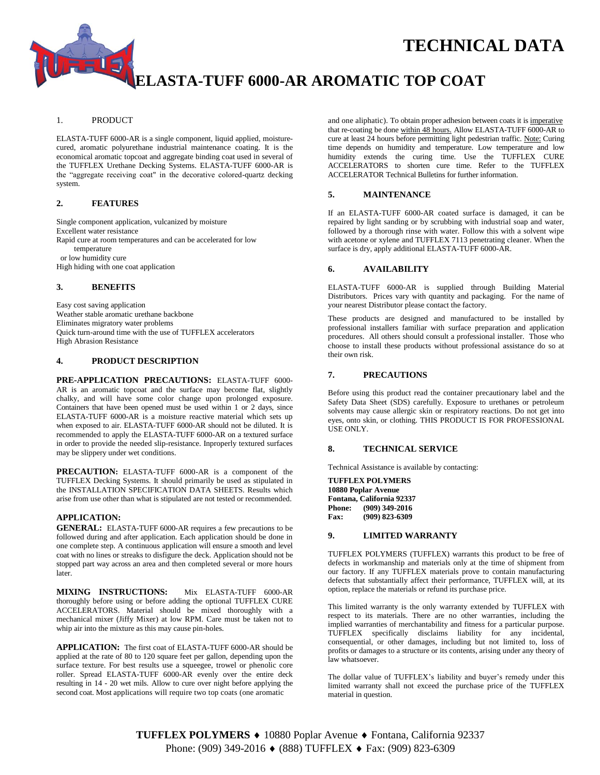# **TECHNICAL DATA**

## **ELASTA-TUFF 6000-AR AROMATIC TOP COAT**

#### 1. PRODUCT

ELASTA-TUFF 6000-AR is a single component, liquid applied, moisturecured, aromatic polyurethane industrial maintenance coating. It is the economical aromatic topcoat and aggregate binding coat used in several of the TUFFLEX Urethane Decking Systems. ELASTA-TUFF 6000-AR is the "aggregate receiving coat" in the decorative colored-quartz decking system.

#### **2. FEATURES**

Single component application, vulcanized by moisture Excellent water resistance Rapid cure at room temperatures and can be accelerated for low temperature or low humidity cure High hiding with one coat application

#### **3. BENEFITS**

Easy cost saving application Weather stable aromatic urethane backbone Eliminates migratory water problems Quick turn-around time with the use of TUFFLEX accelerators High Abrasion Resistance

#### **4. PRODUCT DESCRIPTION**

**PRE-APPLICATION PRECAUTIONS:** ELASTA-TUFF 6000- AR is an aromatic topcoat and the surface may become flat, slightly chalky, and will have some color change upon prolonged exposure. Containers that have been opened must be used within 1 or 2 days, since ELASTA-TUFF 6000-AR is a moisture reactive material which sets up when exposed to air. ELASTA-TUFF 6000-AR should not be diluted. It is recommended to apply the ELASTA-TUFF 6000-AR on a textured surface in order to provide the needed slip-resistance. Inproperly textured surfaces may be slippery under wet conditions.

**PRECAUTION:** ELASTA-TUFF 6000-AR is a component of the TUFFLEX Decking Systems. It should primarily be used as stipulated in the INSTALLATION SPECIFICATION DATA SHEETS. Results which arise from use other than what is stipulated are not tested or recommended.

#### **APPLICATION:**

**GENERAL:** ELASTA-TUFF 6000-AR requires a few precautions to be followed during and after application. Each application should be done in one complete step. A continuous application will ensure a smooth and level coat with no lines or streaks to disfigure the deck. Application should not be stopped part way across an area and then completed several or more hours later.

**MIXING INSTRUCTIONS:** Mix ELASTA-TUFF 6000-AR thoroughly before using or before adding the optional TUFFLEX CURE ACCELERATORS. Material should be mixed thoroughly with a mechanical mixer (Jiffy Mixer) at low RPM. Care must be taken not to whip air into the mixture as this may cause pin-holes.

**APPLICATION:** The first coat of ELASTA-TUFF 6000-AR should be applied at the rate of 80 to 120 square feet per gallon, depending upon the surface texture. For best results use a squeegee, trowel or phenolic core roller. Spread ELASTA-TUFF 6000-AR evenly over the entire deck resulting in 14 - 20 wet mils. Allow to cure over night before applying the second coat. Most applications will require two top coats (one aromatic

and one aliphatic). To obtain proper adhesion between coats it is imperative that re-coating be done within 48 hours. Allow ELASTA-TUFF 6000-AR to cure at least 24 hours before permitting light pedestrian traffic. Note: Curing time depends on humidity and temperature. Low temperature and low humidity extends the curing time. Use the TUFFLEX CURE ACCELERATORS to shorten cure time. Refer to the TUFFLEX ACCELERATOR Technical Bulletins for further information.

#### **5. MAINTENANCE**

If an ELASTA-TUFF 6000-AR coated surface is damaged, it can be repaired by light sanding or by scrubbing with industrial soap and water, followed by a thorough rinse with water. Follow this with a solvent wipe with acetone or xylene and TUFFLEX 7113 penetrating cleaner*.* When the surface is dry, apply additional ELASTA-TUFF 6000-AR.

#### **6. AVAILABILITY**

ELASTA-TUFF 6000-AR is supplied through Building Material Distributors. Prices vary with quantity and packaging. For the name of your nearest Distributor please contact the factory.

These products are designed and manufactured to be installed by professional installers familiar with surface preparation and application procedures. All others should consult a professional installer. Those who choose to install these products without professional assistance do so at their own risk.

#### **7. PRECAUTIONS**

Before using this product read the container precautionary label and the Safety Data Sheet (SDS) carefully. Exposure to urethanes or petroleum solvents may cause allergic skin or respiratory reactions. Do not get into eyes, onto skin, or clothing. THIS PRODUCT IS FOR PROFESSIONAL USE ONLY.

#### **8. TECHNICAL SERVICE**

Technical Assistance is available by contacting:

**TUFFLEX POLYMERS 10880 Poplar Avenue Fontana, California 92337 Phone: (909) 349-2016 Fax: (909) 823-6309**

#### **9. LIMITED WARRANTY**

TUFFLEX POLYMERS (TUFFLEX) warrants this product to be free of defects in workmanship and materials only at the time of shipment from our factory. If any TUFFLEX materials prove to contain manufacturing defects that substantially affect their performance, TUFFLEX will, at its option, replace the materials or refund its purchase price.

This limited warranty is the only warranty extended by TUFFLEX with respect to its materials. There are no other warranties, including the implied warranties of merchantability and fitness for a particular purpose. TUFFLEX specifically disclaims liability for any incidental, consequential, or other damages, including but not limited to, loss of profits or damages to a structure or its contents, arising under any theory of law whatsoever.

The dollar value of TUFFLEX's liability and buyer's remedy under this limited warranty shall not exceed the purchase price of the TUFFLEX material in question.

**TUFFLEX POLYMERS ♦** 10880 Poplar Avenue ♦ Fontana, California 92337 Phone: (909) 349-2016 ♦ (888) TUFFLEX ♦ Fax: (909) 823-6309